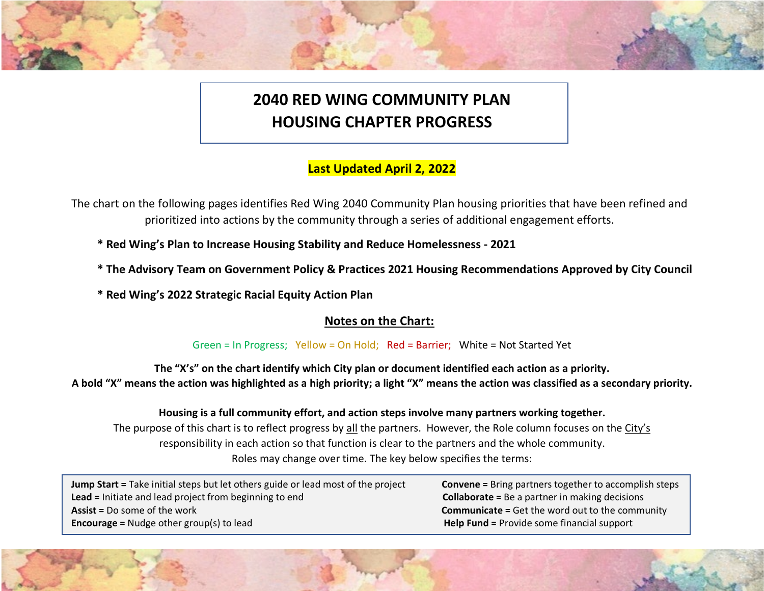# **2040 RED WING COMMUNITY PLAN HOUSING CHAPTER PROGRESS**

## **Last Updated April 2, 2022**

The chart on the following pages identifies Red Wing 2040 Community Plan housing priorities that have been refined and prioritized into actions by the community through a series of additional engagement efforts.

- **\* Red Wing's Plan to Increase Housing Stability and Reduce Homelessness 2021**
- **\* The Advisory Team on Government Policy & Practices 2021 Housing Recommendations Approved by City Council**
- **\* Red Wing's 2022 Strategic Racial Equity Action Plan**

### **Notes on the Chart:**

#### Green = In Progress; Yellow = On Hold; Red = Barrier; White = Not Started Yet

**The "X's" on the chart identify which City plan or document identified each action as a priority. A bold "X" means the action was highlighted as a high priority; a light "X" means the action was classified as a secondary priority.**

**Housing is a full community effort, and action steps involve many partners working together.** The purpose of this chart is to reflect progress by all the partners. However, the Role column focuses on the City's responsibility in each action so that function is clear to the partners and the whole community. Roles may change over time. The key below specifies the terms:

| <b>Jump Start = Take initial steps but let others guide or lead most of the project</b> |
|-----------------------------------------------------------------------------------------|
| <b>Lead</b> = Initiate and lead project from beginning to end                           |
| <b>Assist</b> = Do some of the work                                                     |
| <b>Encourage = Nudge other group(s) to lead</b>                                         |

**Convene =** Bring partners together to accomplish steps **Collaborate = Be a partner in making decisions Communicate =** Get the word out to the community **Help Fund = Provide some financial support**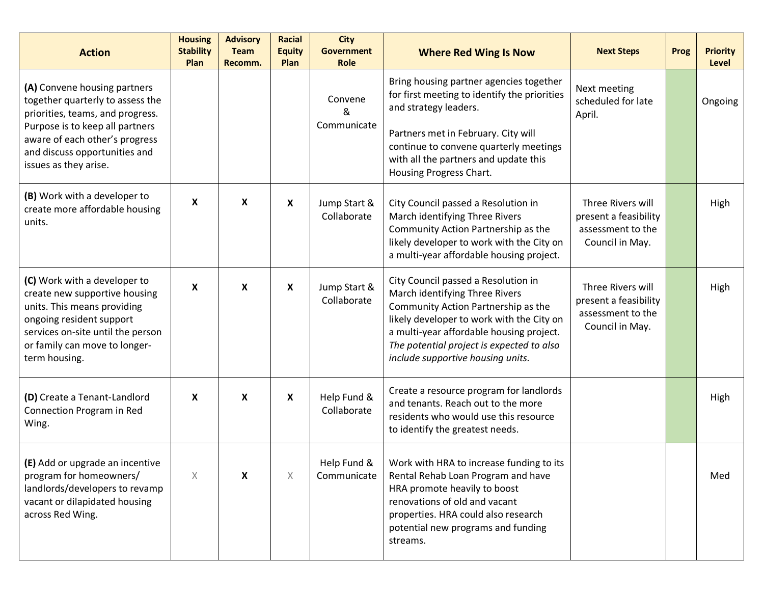| <b>Action</b>                                                                                                                                                                                                                       | <b>Housing</b><br><b>Stability</b><br>Plan | <b>Advisory</b><br><b>Team</b><br>Recomm. | <b>Racial</b><br><b>Equity</b><br>Plan | <b>City</b><br><b>Government</b><br><b>Role</b> | <b>Where Red Wing Is Now</b>                                                                                                                                                                                                                                                            | <b>Next Steps</b>                                                                  | Prog | <b>Priority</b><br>Level |
|-------------------------------------------------------------------------------------------------------------------------------------------------------------------------------------------------------------------------------------|--------------------------------------------|-------------------------------------------|----------------------------------------|-------------------------------------------------|-----------------------------------------------------------------------------------------------------------------------------------------------------------------------------------------------------------------------------------------------------------------------------------------|------------------------------------------------------------------------------------|------|--------------------------|
| (A) Convene housing partners<br>together quarterly to assess the<br>priorities, teams, and progress.<br>Purpose is to keep all partners<br>aware of each other's progress<br>and discuss opportunities and<br>issues as they arise. |                                            |                                           |                                        | Convene<br>&<br>Communicate                     | Bring housing partner agencies together<br>for first meeting to identify the priorities<br>and strategy leaders.<br>Partners met in February. City will<br>continue to convene quarterly meetings<br>with all the partners and update this<br>Housing Progress Chart.                   | Next meeting<br>scheduled for late<br>April.                                       |      | Ongoing                  |
| (B) Work with a developer to<br>create more affordable housing<br>units.                                                                                                                                                            | X                                          | X                                         | X                                      | Jump Start &<br>Collaborate                     | City Council passed a Resolution in<br>March identifying Three Rivers<br>Community Action Partnership as the<br>likely developer to work with the City on<br>a multi-year affordable housing project.                                                                                   | Three Rivers will<br>present a feasibility<br>assessment to the<br>Council in May. |      | High                     |
| (C) Work with a developer to<br>create new supportive housing<br>units. This means providing<br>ongoing resident support<br>services on-site until the person<br>or family can move to longer-<br>term housing.                     | X                                          | $\pmb{\times}$                            | X                                      | Jump Start &<br>Collaborate                     | City Council passed a Resolution in<br>March identifying Three Rivers<br>Community Action Partnership as the<br>likely developer to work with the City on<br>a multi-year affordable housing project.<br>The potential project is expected to also<br>include supportive housing units. | Three Rivers will<br>present a feasibility<br>assessment to the<br>Council in May. |      | High                     |
| (D) Create a Tenant-Landlord<br>Connection Program in Red<br>Wing.                                                                                                                                                                  | X                                          | X                                         | X                                      | Help Fund &<br>Collaborate                      | Create a resource program for landlords<br>and tenants. Reach out to the more<br>residents who would use this resource<br>to identify the greatest needs.                                                                                                                               |                                                                                    |      | High                     |
| (E) Add or upgrade an incentive<br>program for homeowners/<br>landlords/developers to revamp<br>vacant or dilapidated housing<br>across Red Wing.                                                                                   | $\boldsymbol{\times}$                      | X                                         | X                                      | Help Fund &<br>Communicate                      | Work with HRA to increase funding to its<br>Rental Rehab Loan Program and have<br>HRA promote heavily to boost<br>renovations of old and vacant<br>properties. HRA could also research<br>potential new programs and funding<br>streams.                                                |                                                                                    |      | Med                      |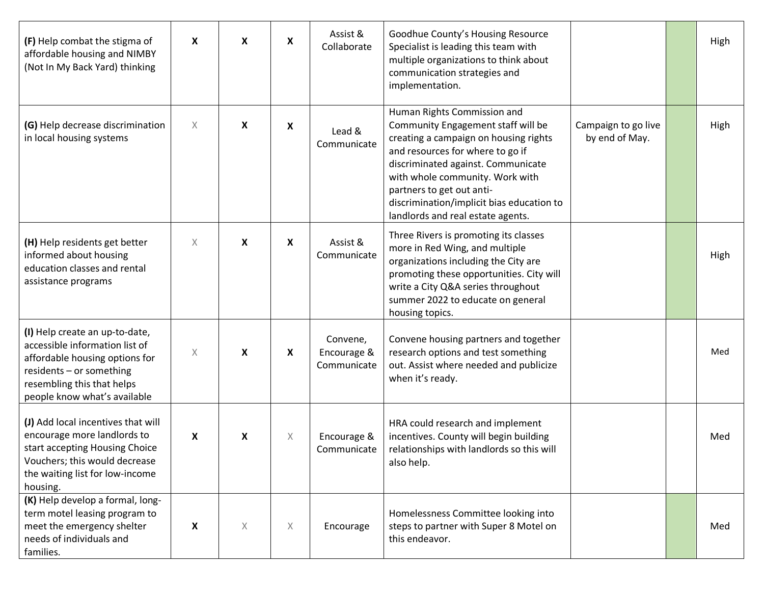| (F) Help combat the stigma of<br>affordable housing and NIMBY<br>(Not In My Back Yard) thinking                                                                                              | X | X | X        | Assist &<br>Collaborate                | Goodhue County's Housing Resource<br>Specialist is leading this team with<br>multiple organizations to think about<br>communication strategies and<br>implementation.                                                                                                                                                                  |                                       | High |
|----------------------------------------------------------------------------------------------------------------------------------------------------------------------------------------------|---|---|----------|----------------------------------------|----------------------------------------------------------------------------------------------------------------------------------------------------------------------------------------------------------------------------------------------------------------------------------------------------------------------------------------|---------------------------------------|------|
| (G) Help decrease discrimination<br>in local housing systems                                                                                                                                 | X | X | X        | Lead &<br>Communicate                  | Human Rights Commission and<br>Community Engagement staff will be<br>creating a campaign on housing rights<br>and resources for where to go if<br>discriminated against. Communicate<br>with whole community. Work with<br>partners to get out anti-<br>discrimination/implicit bias education to<br>landlords and real estate agents. | Campaign to go live<br>by end of May. | High |
| (H) Help residents get better<br>informed about housing<br>education classes and rental<br>assistance programs                                                                               | X | X | X        | Assist &<br>Communicate                | Three Rivers is promoting its classes<br>more in Red Wing, and multiple<br>organizations including the City are<br>promoting these opportunities. City will<br>write a City Q&A series throughout<br>summer 2022 to educate on general<br>housing topics.                                                                              |                                       | High |
| (I) Help create an up-to-date,<br>accessible information list of<br>affordable housing options for<br>residents - or something<br>resembling this that helps<br>people know what's available | Χ | X | X        | Convene,<br>Encourage &<br>Communicate | Convene housing partners and together<br>research options and test something<br>out. Assist where needed and publicize<br>when it's ready.                                                                                                                                                                                             |                                       | Med  |
| (J) Add local incentives that will<br>encourage more landlords to<br>start accepting Housing Choice<br>Vouchers; this would decrease<br>the waiting list for low-income<br>housing.          | X | X | $\times$ | Encourage &<br>Communicate             | HRA could research and implement<br>incentives. County will begin building<br>relationships with landlords so this will<br>also help.                                                                                                                                                                                                  |                                       | Med  |
| (K) Help develop a formal, long-<br>term motel leasing program to<br>meet the emergency shelter<br>needs of individuals and<br>families.                                                     | X | X | X        | Encourage                              | Homelessness Committee looking into<br>steps to partner with Super 8 Motel on<br>this endeavor.                                                                                                                                                                                                                                        |                                       | Med  |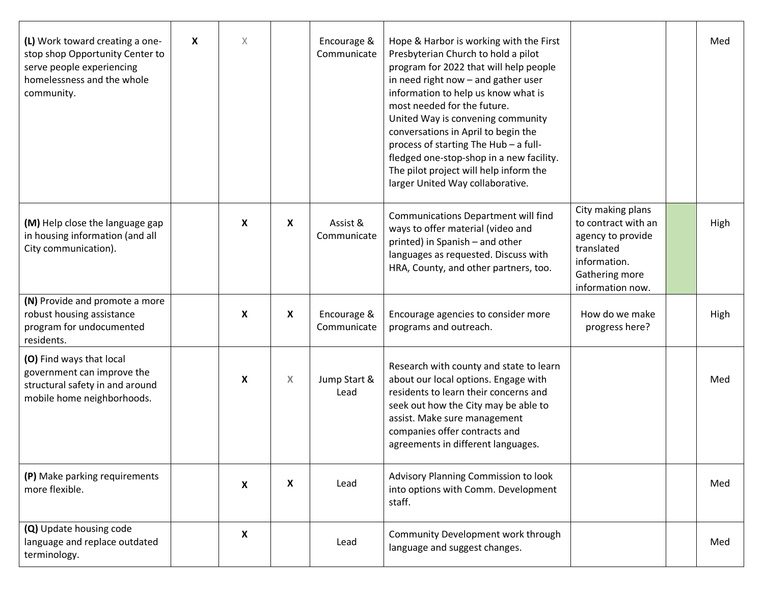| (L) Work toward creating a one-<br>stop shop Opportunity Center to<br>serve people experiencing<br>homelessness and the whole<br>community. | X | $\times$ |   | Encourage &<br>Communicate | Hope & Harbor is working with the First<br>Presbyterian Church to hold a pilot<br>program for 2022 that will help people<br>in need right now - and gather user<br>information to help us know what is<br>most needed for the future.<br>United Way is convening community<br>conversations in April to begin the<br>process of starting The Hub - a full-<br>fledged one-stop-shop in a new facility.<br>The pilot project will help inform the<br>larger United Way collaborative. |                                                                                                                                   | Med  |
|---------------------------------------------------------------------------------------------------------------------------------------------|---|----------|---|----------------------------|--------------------------------------------------------------------------------------------------------------------------------------------------------------------------------------------------------------------------------------------------------------------------------------------------------------------------------------------------------------------------------------------------------------------------------------------------------------------------------------|-----------------------------------------------------------------------------------------------------------------------------------|------|
| (M) Help close the language gap<br>in housing information (and all<br>City communication).                                                  |   | X        | X | Assist &<br>Communicate    | <b>Communications Department will find</b><br>ways to offer material (video and<br>printed) in Spanish - and other<br>languages as requested. Discuss with<br>HRA, County, and other partners, too.                                                                                                                                                                                                                                                                                  | City making plans<br>to contract with an<br>agency to provide<br>translated<br>information.<br>Gathering more<br>information now. | High |
| (N) Provide and promote a more<br>robust housing assistance<br>program for undocumented<br>residents.                                       |   | X        | X | Encourage &<br>Communicate | Encourage agencies to consider more<br>programs and outreach.                                                                                                                                                                                                                                                                                                                                                                                                                        | How do we make<br>progress here?                                                                                                  | High |
| (O) Find ways that local<br>government can improve the<br>structural safety in and around<br>mobile home neighborhoods.                     |   | X        | X | Jump Start &<br>Lead       | Research with county and state to learn<br>about our local options. Engage with<br>residents to learn their concerns and<br>seek out how the City may be able to<br>assist. Make sure management<br>companies offer contracts and<br>agreements in different languages.                                                                                                                                                                                                              |                                                                                                                                   | Med  |
| (P) Make parking requirements<br>more flexible.                                                                                             |   | X        | X | Lead                       | Advisory Planning Commission to look<br>into options with Comm. Development<br>staff.                                                                                                                                                                                                                                                                                                                                                                                                |                                                                                                                                   | Med  |
| (Q) Update housing code<br>language and replace outdated<br>terminology.                                                                    |   | X        |   | Lead                       | Community Development work through<br>language and suggest changes.                                                                                                                                                                                                                                                                                                                                                                                                                  |                                                                                                                                   | Med  |